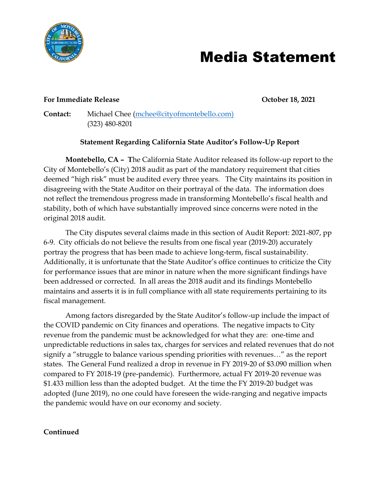

## Media Statement

#### **For Immediate Release October 18, 2021**

**Contact:** Michael Chee [\(mchee@cityofmontebello.com\)](mailto:mchee@cityofmontebello.com) (323) 480-8201

### **Statement Regarding California State Auditor's Follow-Up Report**

**Montebello, CA – T**he California State Auditor released its follow-up report to the City of Montebello's (City) 2018 audit as part of the mandatory requirement that cities deemed "high risk" must be audited every three years. The City maintains its position in disagreeing with the State Auditor on their portrayal of the data. The information does not reflect the tremendous progress made in transforming Montebello's fiscal health and stability, both of which have substantially improved since concerns were noted in the original 2018 audit.

The City disputes several claims made in this section of Audit Report: 2021-807, pp 6-9. City officials do not believe the results from one fiscal year (2019-20) accurately portray the progress that has been made to achieve long-term, fiscal sustainability. Additionally, it is unfortunate that the State Auditor's office continues to criticize the City for performance issues that are minor in nature when the more significant findings have been addressed or corrected. In all areas the 2018 audit and its findings Montebello maintains and asserts it is in full compliance with all state requirements pertaining to its fiscal management.

Among factors disregarded by the State Auditor's follow-up include the impact of the COVID pandemic on City finances and operations. The negative impacts to City revenue from the pandemic must be acknowledged for what they are: one-time and unpredictable reductions in sales tax, charges for services and related revenues that do not signify a "struggle to balance various spending priorities with revenues…" as the report states. The General Fund realized a drop in revenue in FY 2019-20 of \$3.090 million when compared to FY 2018-19 (pre-pandemic). Furthermore, actual FY 2019-20 revenue was \$1.433 million less than the adopted budget. At the time the FY 2019-20 budget was adopted (June 2019), no one could have foreseen the wide-ranging and negative impacts the pandemic would have on our economy and society.

#### **Continued**